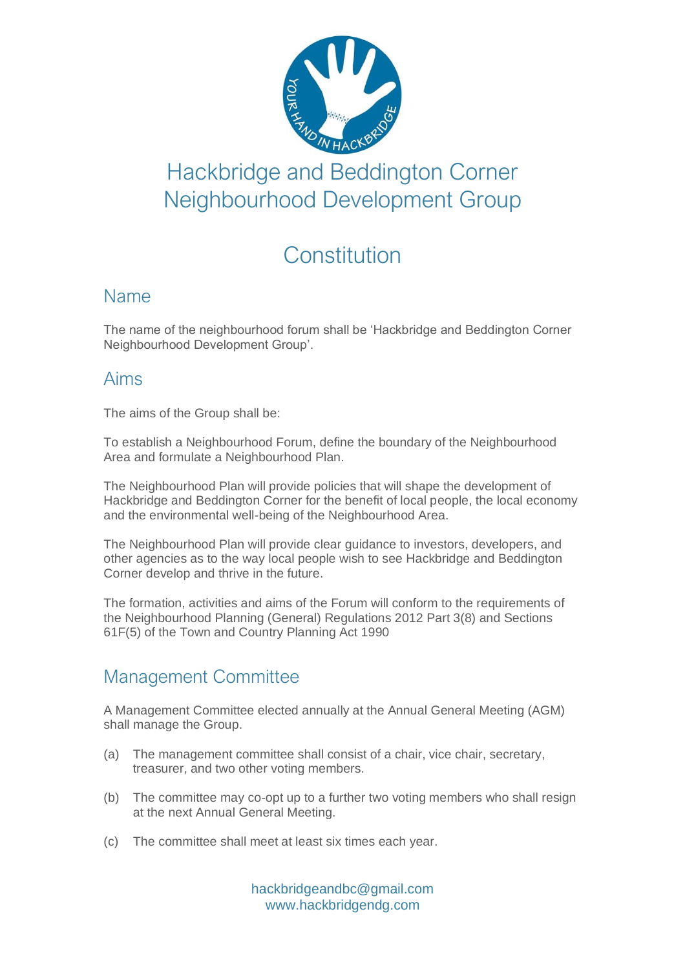

# Hackbridge and Beddington Corner Neighbourhood Development Group

# **Constitution**

# Name

The name of the neighbourhood forum shall be 'Hackbridge and Beddington Corner Neighbourhood Development Group'.

# Aims

The aims of the Group shall be:

To establish a Neighbourhood Forum, define the boundary of the Neighbourhood Area and formulate a Neighbourhood Plan.

The Neighbourhood Plan will provide policies that will shape the development of Hackbridge and Beddington Corner for the benefit of local people, the local economy and the environmental well-being of the Neighbourhood Area.

The Neighbourhood Plan will provide clear guidance to investors, developers, and other agencies as to the way local people wish to see Hackbridge and Beddington Corner develop and thrive in the future.

The formation, activities and aims of the Forum will conform to the requirements of the Neighbourhood Planning (General) Regulations 2012 Part 3(8) and Sections 61F(5) of the Town and Country Planning Act 1990

# Management Committee

A Management Committee elected annually at the Annual General Meeting (AGM) shall manage the Group.

- (a) The management committee shall consist of a chair, vice chair, secretary, treasurer, and two other voting members.
- (b) The committee may co-opt up to a further two voting members who shall resign at the next Annual General Meeting.
- (c) The committee shall meet at least six times each year.

hackbridgeandbc@gmail.com www.hackbridgendg.com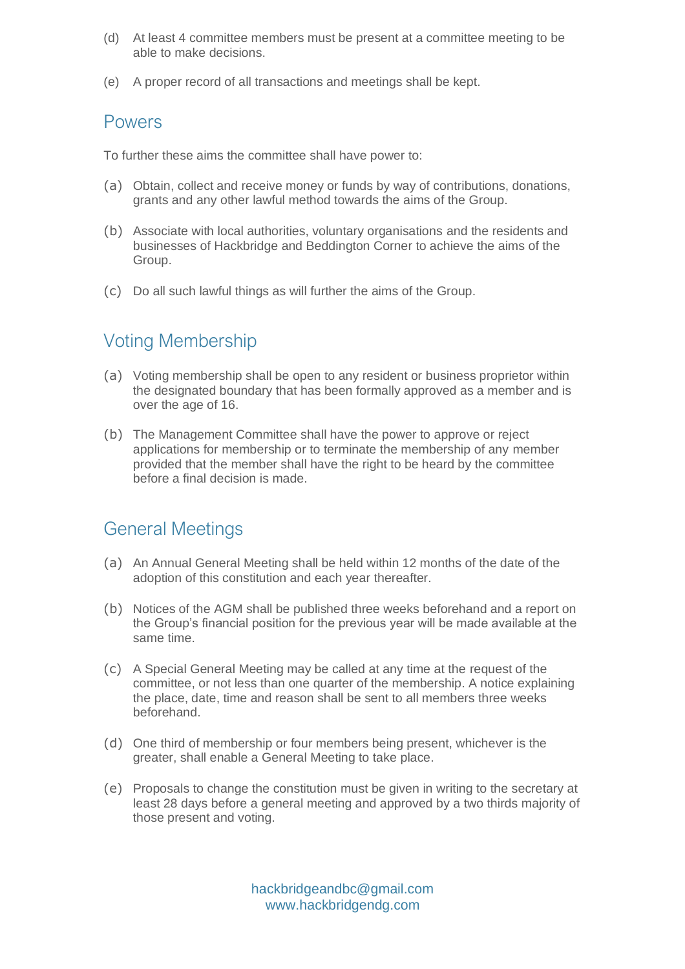- (d) At least 4 committee members must be present at a committee meeting to be able to make decisions.
- (e) A proper record of all transactions and meetings shall be kept.

#### **POWARS**

To further these aims the committee shall have power to:

- (a) Obtain, collect and receive money or funds by way of contributions, donations, grants and any other lawful method towards the aims of the Group.
- (b) Associate with local authorities, voluntary organisations and the residents and businesses of Hackbridge and Beddington Corner to achieve the aims of the Group.
- (c) Do all such lawful things as will further the aims of the Group.

# Voting Membership

- (a) Voting membership shall be open to any resident or business proprietor within the designated boundary that has been formally approved as a member and is over the age of 16.
- (b) The Management Committee shall have the power to approve or reject applications for membership or to terminate the membership of any member provided that the member shall have the right to be heard by the committee before a final decision is made.

### General Meetings

- (a) An Annual General Meeting shall be held within 12 months of the date of the adoption of this constitution and each year thereafter.
- (b) Notices of the AGM shall be published three weeks beforehand and a report on the Group's financial position for the previous year will be made available at the same time.
- (c) A Special General Meeting may be called at any time at the request of the committee, or not less than one quarter of the membership. A notice explaining the place, date, time and reason shall be sent to all members three weeks beforehand.
- (d) One third of membership or four members being present, whichever is the greater, shall enable a General Meeting to take place.
- (e) Proposals to change the constitution must be given in writing to the secretary at least 28 days before a general meeting and approved by a two thirds majority of those present and voting.

hackbridgeandbc@gmail.com www.hackbridgendg.com